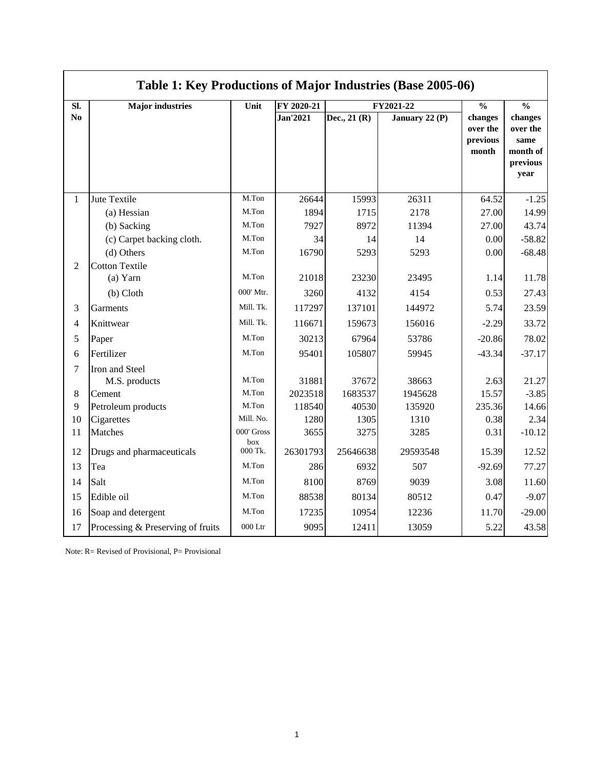|                | Table 1: Key Productions of Major Industries (Base 2005-06) |                         |                  |                  |                  |                                          |                                                             |  |  |
|----------------|-------------------------------------------------------------|-------------------------|------------------|------------------|------------------|------------------------------------------|-------------------------------------------------------------|--|--|
| SI.            | <b>Major industries</b>                                     | Unit                    | FY 2020-21       | FY2021-22        |                  |                                          | $\overline{\frac{0}{0}}$                                    |  |  |
| N <sub>0</sub> |                                                             |                         | <b>Jan'2021</b>  | Dec., 21 (R)     | January 22 (P)   | changes<br>over the<br>previous<br>month | changes<br>over the<br>same<br>month of<br>previous<br>year |  |  |
| $\mathbf{1}$   | Jute Textile                                                | M.Ton                   | 26644            | 15993            | 26311            | 64.52                                    | $-1.25$                                                     |  |  |
|                | (a) Hessian                                                 | M.Ton                   | 1894             | 1715             | 2178             | 27.00                                    | 14.99                                                       |  |  |
|                | (b) Sacking                                                 | M.Ton                   | 7927             | 8972             | 11394            | 27.00                                    | 43.74                                                       |  |  |
|                | (c) Carpet backing cloth.                                   | M.Ton                   | 34               | 14               | 14               | 0.00                                     | $-58.82$                                                    |  |  |
|                | (d) Others                                                  | M.Ton                   | 16790            | 5293             | 5293             | 0.00                                     | $-68.48$                                                    |  |  |
| $\overline{2}$ | <b>Cotton Textile</b><br>$(a)$ Yarn                         | M.Ton<br>000' Mtr.      | 21018<br>3260    | 23230<br>4132    | 23495<br>4154    | 1.14<br>0.53                             | 11.78<br>27.43                                              |  |  |
|                | $(b)$ Cloth                                                 | Mill. Tk.               |                  |                  |                  |                                          |                                                             |  |  |
| 3              | Garments                                                    |                         | 117297           | 137101           | 144972           | 5.74                                     | 23.59                                                       |  |  |
| $\overline{4}$ | Knittwear                                                   | Mill. Tk.               | 116671           | 159673           | 156016           | $-2.29$                                  | 33.72                                                       |  |  |
| 5              | Paper                                                       | M.Ton                   | 30213            | 67964            | 53786            | $-20.86$                                 | 78.02                                                       |  |  |
| 6              | Fertilizer                                                  | M.Ton                   | 95401            | 105807           | 59945            | $-43.34$                                 | $-37.17$                                                    |  |  |
| 7              | Iron and Steel<br>M.S. products                             | M.Ton                   | 31881            | 37672            | 38663            | 2.63                                     | 21.27                                                       |  |  |
| $\,8\,$        | Cement                                                      | M.Ton                   | 2023518          | 1683537          | 1945628          | 15.57                                    | $-3.85$                                                     |  |  |
| 9              | Petroleum products                                          | M.Ton                   | 118540           | 40530            | 135920           | 235.36                                   | 14.66                                                       |  |  |
| 10             | Cigarettes                                                  | Mill. No.<br>000' Gross | 1280             | 1305             | 1310             | 0.38                                     | 2.34                                                        |  |  |
| 11<br>12       | Matches<br>Drugs and pharmaceuticals                        | box<br>000 Tk.          | 3655<br>26301793 | 3275<br>25646638 | 3285<br>29593548 | 0.31<br>15.39                            | $-10.12$<br>12.52                                           |  |  |
| 13             | Tea                                                         | M.Ton                   | 286              | 6932             | 507              | $-92.69$                                 | 77.27                                                       |  |  |
| 14             | Salt                                                        | M.Ton                   | 8100             | 8769             | 9039             | 3.08                                     | 11.60                                                       |  |  |
|                |                                                             | M.Ton                   |                  |                  |                  |                                          |                                                             |  |  |
| 15             | Edible oil                                                  |                         | 88538            | 80134            | 80512            | 0.47                                     | $-9.07$                                                     |  |  |
| 16             | Soap and detergent                                          | M.Ton                   | 17235            | 10954            | 12236            | 11.70                                    | $-29.00$                                                    |  |  |
| 17             | Processing & Preserving of fruits                           | $000$ Ltr               | 9095             | 12411            | 13059            | 5.22                                     | 43.58                                                       |  |  |

Note: R= Revised of Provisional, P= Provisional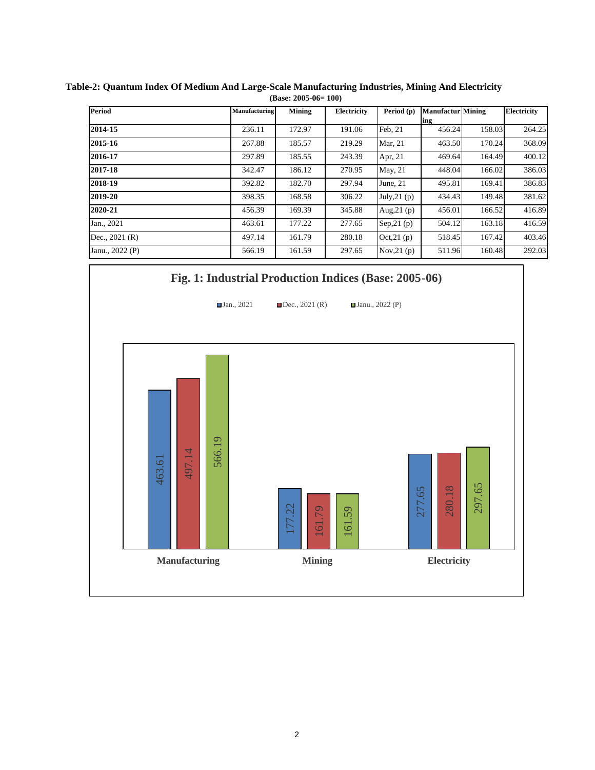| <b>Period</b>   | Manufacturing | Mining | Electricity | Period (p)    | <b>Manufactur Mining</b> |        | Electricity |
|-----------------|---------------|--------|-------------|---------------|--------------------------|--------|-------------|
|                 |               |        |             |               | ing                      |        |             |
| 2014-15         | 236.11        | 172.97 | 191.06      | Feb. 21       | 456.24                   | 158.03 | 264.25      |
| 2015-16         | 267.88        | 185.57 | 219.29      | Mar, 21       | 463.50                   | 170.24 | 368.09      |
| 2016-17         | 297.89        | 185.55 | 243.39      | Apr, 21       | 469.64                   | 164.49 | 400.12      |
| 2017-18         | 342.47        | 186.12 | 270.95      | May, 21       | 448.04                   | 166.02 | 386.03      |
| 2018-19         | 392.82        | 182.70 | 297.94      | June, $21$    | 495.81                   | 169.41 | 386.83      |
| 2019-20         | 398.35        | 168.58 | 306.22      | July, $21(p)$ | 434.43                   | 149.48 | 381.62      |
| 2020-21         | 456.39        | 169.39 | 345.88      | Aug, $21(p)$  | 456.01                   | 166.52 | 416.89      |
| Jan., 2021      | 463.61        | 177.22 | 277.65      | Sep, $21(p)$  | 504.12                   | 163.18 | 416.59      |
| Dec., $2021(R)$ | 497.14        | 161.79 | 280.18      | Oct, 21(p)    | 518.45                   | 167.42 | 403.46      |
| Janu., 2022 (P) | 566.19        | 161.59 | 297.65      | Nov, $21(p)$  | 511.96                   | 160.48 | 292.03      |

**Table-2: Quantum Index Of Medium And Large-Scale Manufacturing Industries, Mining And Electricity (Base: 2005-06= 100)**

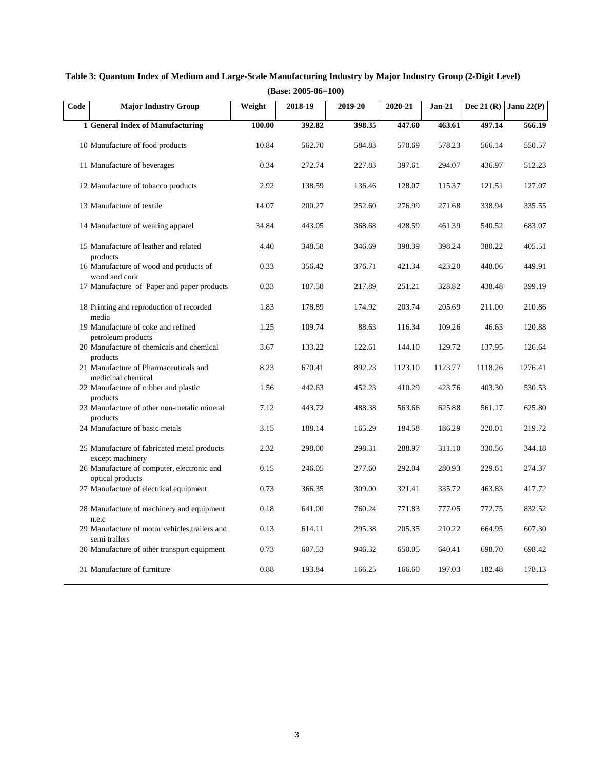| Code | <b>Major Industry Group</b>                                    | Weight | 2018-19 | 2019-20 | 2020-21 | $Jan-21$ | Dec 21 $(R)$ | Janu $22(P)$ |
|------|----------------------------------------------------------------|--------|---------|---------|---------|----------|--------------|--------------|
|      | 1 General Index of Manufacturing                               | 100.00 | 392.82  | 398.35  | 447.60  | 463.61   | 497.14       | 566.19       |
|      | 10 Manufacture of food products                                | 10.84  | 562.70  | 584.83  | 570.69  | 578.23   | 566.14       | 550.57       |
|      | 11 Manufacture of beverages                                    | 0.34   | 272.74  | 227.83  | 397.61  | 294.07   | 436.97       | 512.23       |
|      | 12 Manufacture of tobacco products                             | 2.92   | 138.59  | 136.46  | 128.07  | 115.37   | 121.51       | 127.07       |
|      | 13 Manufacture of textile                                      | 14.07  | 200.27  | 252.60  | 276.99  | 271.68   | 338.94       | 335.55       |
|      | 14 Manufacture of wearing apparel                              | 34.84  | 443.05  | 368.68  | 428.59  | 461.39   | 540.52       | 683.07       |
|      | 15 Manufacture of leather and related<br>products              | 4.40   | 348.58  | 346.69  | 398.39  | 398.24   | 380.22       | 405.51       |
|      | 16 Manufacture of wood and products of<br>wood and cork        | 0.33   | 356.42  | 376.71  | 421.34  | 423.20   | 448.06       | 449.91       |
|      | 17 Manufacture of Paper and paper products                     | 0.33   | 187.58  | 217.89  | 251.21  | 328.82   | 438.48       | 399.19       |
|      | 18 Printing and reproduction of recorded<br>media              | 1.83   | 178.89  | 174.92  | 203.74  | 205.69   | 211.00       | 210.86       |
|      | 19 Manufacture of coke and refined<br>petroleum products       | 1.25   | 109.74  | 88.63   | 116.34  | 109.26   | 46.63        | 120.88       |
|      | 20 Manufacture of chemicals and chemical                       | 3.67   | 133.22  | 122.61  | 144.10  | 129.72   | 137.95       | 126.64       |
|      | products<br>21 Manufacture of Pharmaceuticals and              | 8.23   | 670.41  | 892.23  | 1123.10 | 1123.77  | 1118.26      | 1276.41      |
|      | medicinal chemical<br>22 Manufacture of rubber and plastic     | 1.56   | 442.63  | 452.23  | 410.29  | 423.76   | 403.30       | 530.53       |
|      | products<br>23 Manufacture of other non-metalic mineral        | 7.12   | 443.72  | 488.38  | 563.66  | 625.88   | 561.17       | 625.80       |
|      | products<br>24 Manufacture of basic metals                     | 3.15   | 188.14  | 165.29  | 184.58  | 186.29   | 220.01       | 219.72       |
|      | 25 Manufacture of fabricated metal products                    | 2.32   | 298.00  | 298.31  | 288.97  | 311.10   | 330.56       | 344.18       |
|      | except machinery<br>26 Manufacture of computer, electronic and | 0.15   | 246.05  | 277.60  | 292.04  | 280.93   | 229.61       | 274.37       |
|      | optical products<br>27 Manufacture of electrical equipment     | 0.73   | 366.35  | 309.00  | 321.41  | 335.72   | 463.83       | 417.72       |
|      | 28 Manufacture of machinery and equipment                      | 0.18   | 641.00  | 760.24  | 771.83  | 777.05   | 772.75       | 832.52       |
|      | n.e.c<br>29 Manufacture of motor vehicles, trailers and        | 0.13   | 614.11  | 295.38  | 205.35  | 210.22   | 664.95       | 607.30       |
|      | semi trailers<br>30 Manufacture of other transport equipment   | 0.73   | 607.53  | 946.32  | 650.05  | 640.41   | 698.70       | 698.42       |
|      | 31 Manufacture of furniture                                    | 0.88   | 193.84  | 166.25  | 166.60  | 197.03   | 182.48       | 178.13       |

**Table 3: Quantum Index of Medium and Large-Scale Manufacturing Industry by Major Industry Group (2-Digit Level) (Base: 2005-06=100)**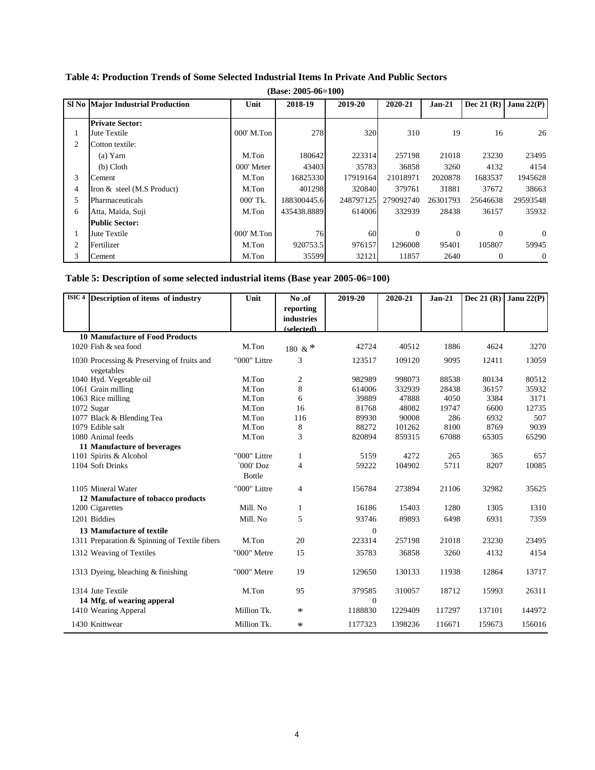|   | $(Base: 2005-06=100)$                    |            |             |           |           |          |              |                |  |
|---|------------------------------------------|------------|-------------|-----------|-----------|----------|--------------|----------------|--|
|   | <b>SI No Major Industrial Production</b> | Unit       | 2018-19     | 2019-20   | 2020-21   | $Jan-21$ | Dec 21 $(R)$ | Janu $22(P)$   |  |
|   | <b>Private Sector:</b>                   |            |             |           |           |          |              |                |  |
| 1 | Jute Textile                             | 000' M.Ton | 278         | 320       | 310       | 19       | 16           | 26             |  |
| 2 | Cotton textile:                          |            |             |           |           |          |              |                |  |
|   | (a) Yarn                                 | M.Ton      | 180642      | 223314    | 257198    | 21018    | 23230        | 23495          |  |
|   | $(b)$ Cloth                              | 000' Meter | 43403       | 35783     | 36858     | 3260     | 4132         | 4154           |  |
| 3 | Cement                                   | M.Ton      | 16825330    | 17919164  | 21018971  | 2020878  | 1683537      | 1945628        |  |
| 4 | Iron & steel (M.S Product)               | M.Ton      | 401298      | 320840    | 379761    | 31881    | 37672        | 38663          |  |
| 5 | Pharmaceuticals                          | 000' Tk.   | 188300445.6 | 248797125 | 279092740 | 26301793 | 25646638     | 29593548       |  |
| 6 | Atta, Maida, Suji                        | M.Ton      | 435438.8889 | 614006    | 332939    | 28438    | 36157        | 35932          |  |
|   | <b>Public Sector:</b>                    |            |             |           |           |          |              |                |  |
|   | Jute Textile                             | 000' M.Ton | 76          | 60        | $\Omega$  | $\Omega$ | $\Omega$     | $\Omega$       |  |
| 2 | Fertilizer                               | M.Ton      | 920753.5    | 976157    | 1296008   | 95401    | 105807       | 59945          |  |
| 3 | Cement                                   | M.Ton      | 35599       | 32121     | 11857     | 2640     | 0            | $\overline{0}$ |  |

## **Table 4: Production Trends of Some Selected Industrial Items In Private And Public Sectors**

| Table 5: Description of some selected industrial items (Base year 2005-06=100) |  |  |
|--------------------------------------------------------------------------------|--|--|
|--------------------------------------------------------------------------------|--|--|

| $\overline{\text{ISIC}}$ 4 | Description of items of industry              | Unit          | No.of      | 2019-20      | 2020-21 | $Jan-21$ | Dec 21 $(R)$ | Janu $22(P)$ |
|----------------------------|-----------------------------------------------|---------------|------------|--------------|---------|----------|--------------|--------------|
|                            |                                               |               | reporting  |              |         |          |              |              |
|                            |                                               |               | industries |              |         |          |              |              |
|                            | <b>10 Manufacture of Food Products</b>        |               | (selected) |              |         |          |              |              |
|                            | 1020 Fish & sea food                          | M.Ton         |            | 42724        | 40512   | 1886     | 4624         | 3270         |
|                            |                                               |               | 180 & *    |              |         |          |              |              |
|                            | 1030 Processing & Preserving of fruits and    | "000" Littre  | 3          | 123517       | 109120  | 9095     | 12411        | 13059        |
|                            | vegetables                                    |               |            |              |         |          |              |              |
|                            | 1040 Hyd. Vegetable oil                       | M.Ton         | 2          | 982989       | 998073  | 88538    | 80134        | 80512        |
|                            | 1061 Grain milling                            | M.Ton         | 8          | 614006       | 332939  | 28438    | 36157        | 35932        |
|                            | 1063 Rice milling                             | M.Ton         | 6          | 39889        | 47888   | 4050     | 3384         | 3171         |
|                            | 1072 Sugar                                    | M.Ton         | 16         | 81768        | 48082   | 19747    | 6600         | 12735        |
|                            | 1077 Black & Blending Tea                     | M.Ton         | 116        | 89930        | 90008   | 286      | 6932         | 507          |
|                            | 1079 Edible salt                              | M.Ton         | 8          | 88272        | 101262  | 8100     | 8769         | 9039         |
|                            | 1080 Animal feeds                             | M.Ton         | 3          | 820894       | 859315  | 67088    | 65305        | 65290        |
|                            | 11 Manufacture of beverages                   |               |            |              |         |          |              |              |
|                            | 1101 Spirits & Alcohol                        | "000" Littre  | 1          | 5159         | 4272    | 265      | 365          | 657          |
|                            | 1104 Soft Drinks                              | $`000'$ Doz   | 4          | 59222        | 104902  | 5711     | 8207         | 10085        |
|                            |                                               | <b>Bottle</b> |            |              |         |          |              |              |
|                            | 1105 Mineral Water                            | "000" Littre  | 4          | 156784       | 273894  | 21106    | 32982        | 35625        |
|                            | 12 Manufacture of tobacco products            |               |            |              |         |          |              |              |
|                            | 1200 Cigarettes                               | Mill. No      | 1          | 16186        | 15403   | 1280     | 1305         | 1310         |
|                            | 1201 Biddies                                  | Mill. No      | 5          | 93746        | 89893   | 6498     | 6931         | 7359         |
|                            | 13 Manufacture of textile                     |               |            | $\Omega$     |         |          |              |              |
|                            | 1311 Preparation & Spinning of Textile fibers | M.Ton         | 20         | 223314       | 257198  | 21018    | 23230        | 23495        |
|                            | 1312 Weaving of Textiles                      | "000" Metre   | 15         | 35783        | 36858   | 3260     | 4132         | 4154         |
|                            |                                               |               |            |              |         |          |              |              |
|                            | 1313 Dyeing, bleaching & finishing            | "000" Metre   | 19         | 129650       | 130133  | 11938    | 12864        | 13717        |
|                            |                                               |               |            |              |         |          |              |              |
|                            | 1314 Jute Textile                             | M.Ton         | 95         | 379585       | 310057  | 18712    | 15993        | 26311        |
|                            | 14 Mfg. of wearing apperal                    |               |            | $\mathbf{0}$ |         |          |              |              |
|                            | 1410 Wearing Apperal                          | Million Tk.   | $\ast$     | 1188830      | 1229409 | 117297   | 137101       | 144972       |
|                            | 1430 Knittwear                                | Million Tk.   | $\ast$     | 1177323      | 1398236 | 116671   | 159673       | 156016       |
|                            |                                               |               |            |              |         |          |              |              |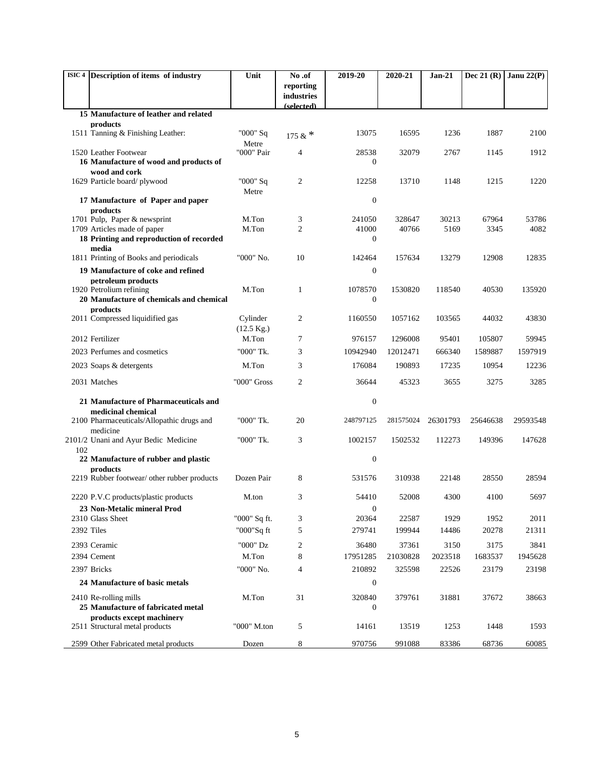| ISIC 4 Description of items of industry                         |                                          | Unit                          | No.of                    | 2019-20          | 2020-21         | Jan-21        | Dec 21 $(R)$  | Janu $22(P)$  |
|-----------------------------------------------------------------|------------------------------------------|-------------------------------|--------------------------|------------------|-----------------|---------------|---------------|---------------|
|                                                                 |                                          |                               | reporting                |                  |                 |               |               |               |
|                                                                 |                                          |                               | industries<br>(selected) |                  |                 |               |               |               |
| 15 Manufacture of leather and related                           |                                          |                               |                          |                  |                 |               |               |               |
| products                                                        |                                          |                               |                          |                  |                 |               |               |               |
| 1511 Tanning & Finishing Leather:                               |                                          | "000" Sq<br>Metre             | 175 & $*$                | 13075            | 16595           | 1236          | 1887          | 2100          |
| 1520 Leather Footwear                                           |                                          | "000" Pair                    | $\overline{4}$           | 28538            | 32079           | 2767          | 1145          | 1912          |
| 16 Manufacture of wood and products of                          |                                          |                               |                          | 0                |                 |               |               |               |
| wood and cork<br>1629 Particle board/plywood                    |                                          | "000" Sq                      | 2                        | 12258            | 13710           | 1148          | 1215          | 1220          |
|                                                                 |                                          | Metre                         |                          |                  |                 |               |               |               |
| 17 Manufacture of Paper and paper                               |                                          |                               |                          | $\boldsymbol{0}$ |                 |               |               |               |
| products                                                        |                                          |                               |                          |                  |                 |               |               |               |
| 1701 Pulp, Paper & newsprint<br>1709 Articles made of paper     |                                          | M.Ton<br>M.Ton                | 3<br>$\overline{c}$      | 241050<br>41000  | 328647<br>40766 | 30213<br>5169 | 67964<br>3345 | 53786<br>4082 |
| 18 Printing and reproduction of recorded                        |                                          |                               |                          | $\mathbf{0}$     |                 |               |               |               |
| media                                                           |                                          |                               |                          |                  |                 |               |               |               |
| 1811 Printing of Books and periodicals                          |                                          | "000" No.                     | 10                       | 142464           | 157634          | 13279         | 12908         | 12835         |
| 19 Manufacture of coke and refined                              |                                          |                               |                          | $\boldsymbol{0}$ |                 |               |               |               |
| petroleum products<br>1920 Petrolium refining                   |                                          | M.Ton                         | 1                        | 1078570          | 1530820         | 118540        | 40530         | 135920        |
|                                                                 | 20 Manufacture of chemicals and chemical |                               |                          | $\boldsymbol{0}$ |                 |               |               |               |
| products                                                        |                                          |                               |                          |                  |                 |               |               |               |
| 2011 Compressed liquidified gas                                 |                                          | Cylinder                      | 2                        | 1160550          | 1057162         | 103565        | 44032         | 43830         |
| 2012 Fertilizer                                                 |                                          | $(12.5 \text{ Kg.})$<br>M.Ton | 7                        | 976157           | 1296008         | 95401         | 105807        | 59945         |
| 2023 Perfumes and cosmetics                                     |                                          | "000" Tk.                     | 3                        | 10942940         | 12012471        | 666340        | 1589887       | 1597919       |
| 2023 Soaps & detergents                                         |                                          | M.Ton                         | 3                        | 176084           | 190893          | 17235         | 10954         | 12236         |
|                                                                 |                                          |                               |                          |                  |                 |               |               |               |
| 2031 Matches                                                    |                                          | "000" Gross                   | 2                        | 36644            | 45323           | 3655          | 3275          | 3285          |
| 21 Manufacture of Pharmaceuticals and                           |                                          |                               |                          | $\boldsymbol{0}$ |                 |               |               |               |
| medicinal chemical                                              |                                          |                               |                          |                  |                 |               |               |               |
| 2100 Pharmaceuticals/Allopathic drugs and                       |                                          | "000" Tk.                     | 20                       | 248797125        | 281575024       | 26301793      | 25646638      | 29593548      |
| medicine<br>2101/2 Unani and Ayur Bedic Medicine                |                                          | "000" Tk.                     | 3                        | 1002157          | 1502532         | 112273        | 149396        | 147628        |
| 102                                                             |                                          |                               |                          |                  |                 |               |               |               |
| 22 Manufacture of rubber and plastic                            |                                          |                               |                          | $\boldsymbol{0}$ |                 |               |               |               |
| products<br>2219 Rubber footwear/ other rubber products         |                                          | Dozen Pair                    | 8                        | 531576           | 310938          | 22148         | 28550         | 28594         |
|                                                                 |                                          |                               |                          |                  |                 |               |               |               |
| 2220 P.V.C products/plastic products                            |                                          | M.ton                         | 3                        | 54410            | 52008           | 4300          | 4100          | 5697          |
| 23 Non-Metalic mineral Prod                                     |                                          |                               |                          | 0                |                 |               |               |               |
| 2310 Glass Sheet<br>2392 Tiles                                  |                                          | "000" Sq ft.                  | 3<br>5                   | 20364<br>279741  | 22587<br>199944 | 1929<br>14486 | 1952<br>20278 | 2011<br>21311 |
|                                                                 |                                          | "000"Sq ft                    |                          |                  |                 |               |               |               |
| 2393 Ceramic                                                    |                                          | "000" Dz                      | 2                        | 36480            | 37361           | 3150          | 3175          | 3841          |
| 2394 Cement                                                     |                                          | M.Ton                         | 8                        | 17951285         | 21030828        | 2023518       | 1683537       | 1945628       |
| 2397 Bricks                                                     |                                          | "000" No.                     | $\overline{4}$           | 210892           | 325598          | 22526         | 23179         | 23198         |
| 24 Manufacture of basic metals                                  |                                          |                               |                          | $\boldsymbol{0}$ |                 |               |               |               |
| 2410 Re-rolling mills                                           |                                          | M.Ton                         | 31                       | 320840           | 379761          | 31881         | 37672         | 38663         |
| 25 Manufacture of fabricated metal<br>products except machinery |                                          |                               |                          | $\mathbf{0}$     |                 |               |               |               |
| 2511 Structural metal products                                  |                                          | "000" M.ton                   | 5                        | 14161            | 13519           | 1253          | 1448          | 1593          |
|                                                                 |                                          |                               |                          |                  |                 |               |               |               |
| 2599 Other Fabricated metal products                            |                                          | Dozen                         | 8                        | 970756           | 991088          | 83386         | 68736         | 60085         |